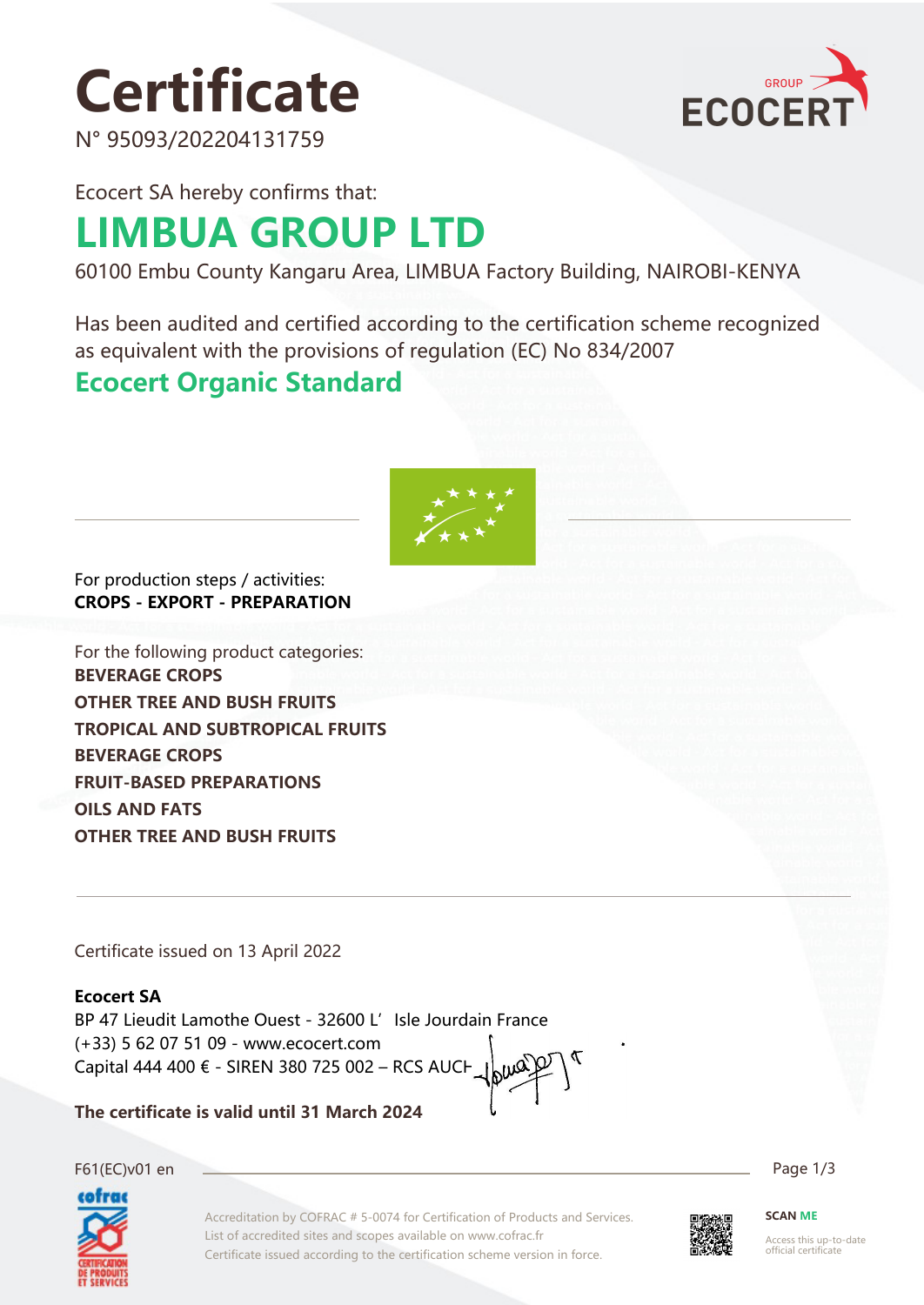# **Certificate**

GROUP **ECOCER** 

N° 95093/202204131759

Ecocert SA hereby confirms that:

# **LIMBUA GROUP LTD**

60100 Embu County Kangaru Area, LIMBUA Factory Building, NAIROBI-KENYA

Has been audited and certified according to the certification scheme recognized as equivalent with the provisions of regulation (EC) No 834/2007

### **Ecocert Organic Standard**



For production steps / activities: **CROPS - EXPORT - PREPARATION**

For the following product categories: **BEVERAGE CROPS OTHER TREE AND BUSH FRUITS TROPICAL AND SUBTROPICAL FRUITS BEVERAGE CROPS FRUIT-BASED PREPARATIONS OILS AND FATS OTHER TREE AND BUSH FRUITS**

Certificate issued on 13 April 2022

#### **Ecocert SA**

BP 47 Lieudit Lamothe Ouest - 32600 L'Isle Jourdain France (+33) 5 62 07 51 09 - www.ecocert.com Capital 444 400 € - SIREN 380 725 002 – RCS AUCH

**The certificate is valid until 31 March 2024**



Accreditation by COFRAC # 5-0074 for Certification of Products and Services. List of accredited sites and scopes available on www.cofrac.fr Certificate issued according to the certification scheme version in force.



**SCAN ME**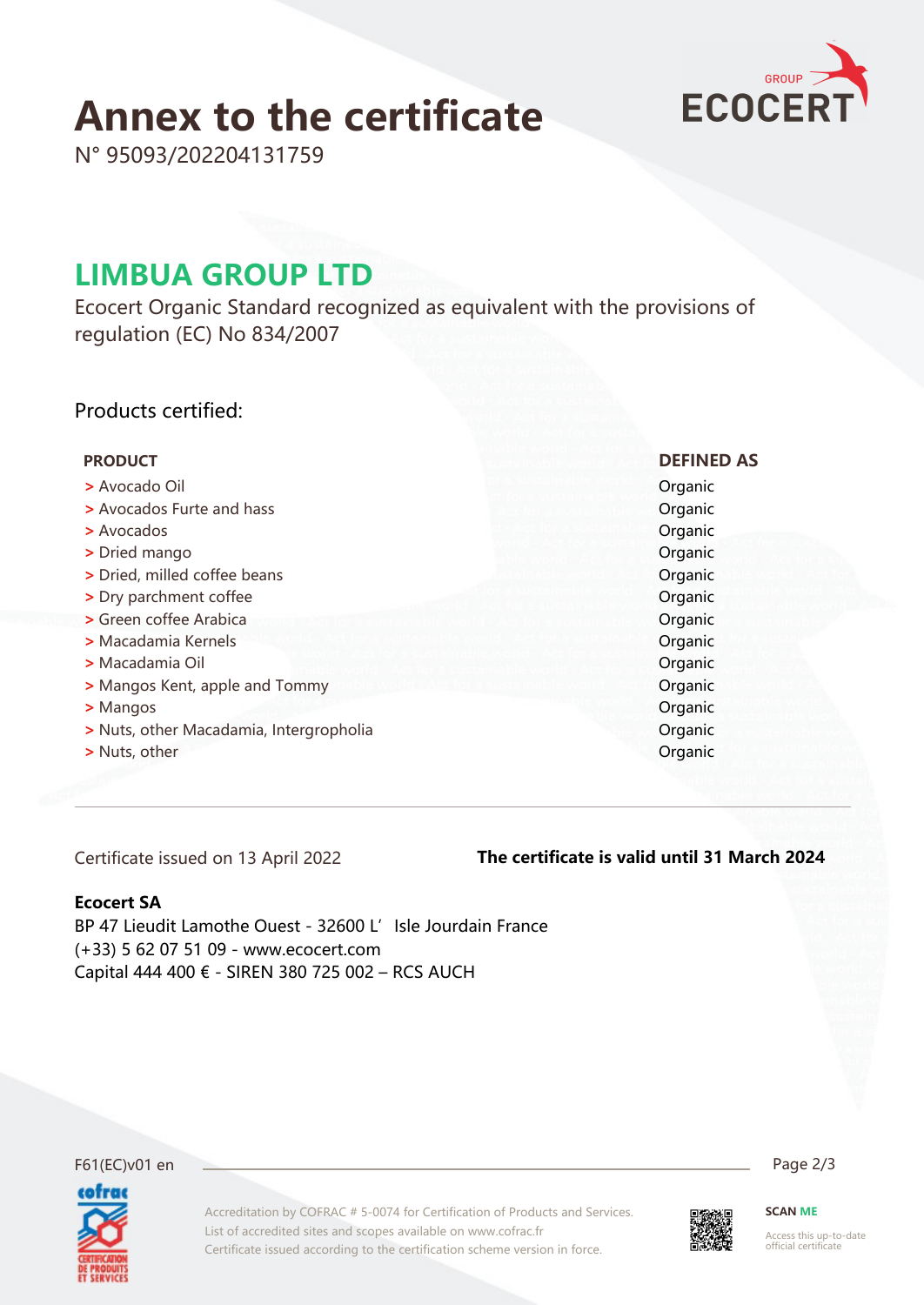# **Annex to the certificate**



N° 95093/202204131759

### **LIMBUA GROUP LTD**

Ecocert Organic Standard recognized as equivalent with the provisions of regulation (EC) No 834/2007

#### Products certified:

| <b>PRODUCT</b>                          | <b>DEFINED AS</b> |
|-----------------------------------------|-------------------|
| > Avocado Oil                           | Organic           |
| > Avocados Furte and hass               | Organic           |
| > Avocados                              | Organic           |
| > Dried mango                           | Organic           |
| > Dried, milled coffee beans            | Organic           |
| > Dry parchment coffee                  | Organic           |
| > Green coffee Arabica                  | Organic           |
| > Macadamia Kernels                     | Organic           |
| > Macadamia Oil                         | Organic           |
| > Mangos Kent, apple and Tommy          | Organic           |
| > Mangos                                | Organic           |
| > Nuts, other Macadamia, Intergropholia | Organic           |
| > Nuts, other                           | Organic           |
|                                         |                   |

Certificate issued on 13 April 2022

#### **The certificate is valid until 31 March 2024**

#### **Ecocert SA**

BP 47 Lieudit Lamothe Ouest - 32600 L' Isle Jourdain France (+33) 5 62 07 51 09 - www.ecocert.com Capital 444 400 € - SIREN 380 725 002 – RCS AUCH



Accreditation by COFRAC # 5-0074 for Certification of Products and Services. List of accredited sites and scopes available on www.cofrac.fr Certificate issued according to the certification scheme version in force.

F61(EC)v01 en Page 2/3



**SCAN ME**

Access this up-to-date official certificate